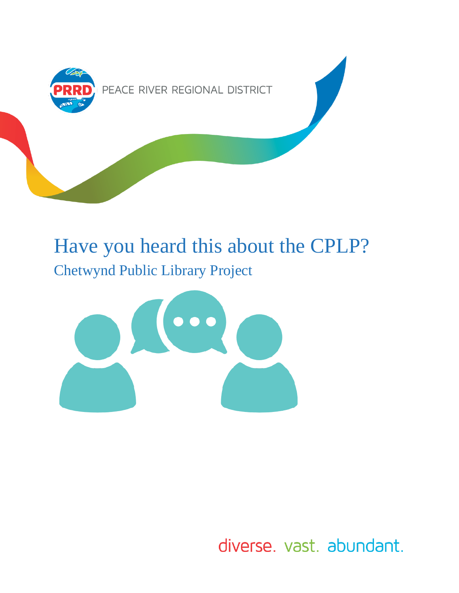

# Have you heard this about the CPLP? Chetwynd Public Library Project



diverse. vast. abundant.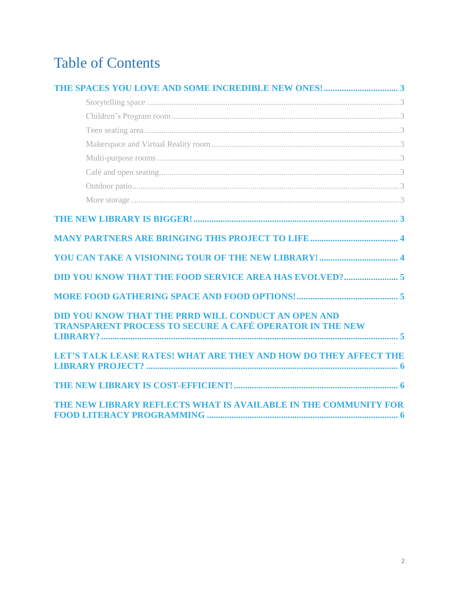## **Table of Contents**

| DID YOU KNOW THAT THE PRRD WILL CONDUCT AN OPEN AND<br><b>TRANSPARENT PROCESS TO SECURE A CAFÉ OPERATOR IN THE NEW</b> |
|------------------------------------------------------------------------------------------------------------------------|
| LET'S TALK LEASE RATES! WHAT ARE THEY AND HOW DO THEY AFFECT THE                                                       |
|                                                                                                                        |
| THE NEW LIBRARY REFLECTS WHAT IS AVAILABLE IN THE COMMUNITY FOR                                                        |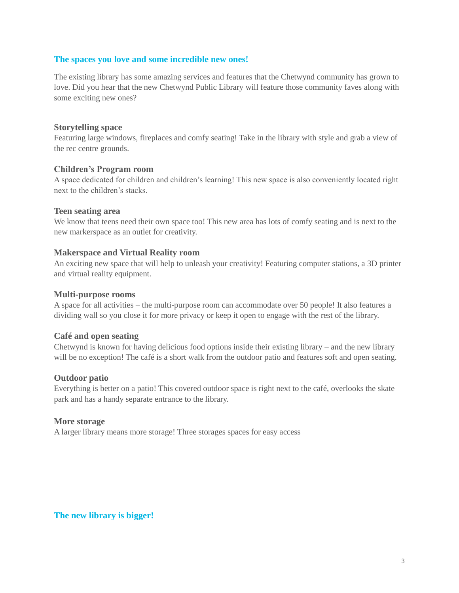## <span id="page-2-0"></span>**The spaces you love and some incredible new ones!**

The existing library has some amazing services and features that the Chetwynd community has grown to love. Did you hear that the new Chetwynd Public Library will feature those community faves along with some exciting new ones?

## <span id="page-2-1"></span>**Storytelling space**

Featuring large windows, fireplaces and comfy seating! Take in the library with style and grab a view of the rec centre grounds.

## <span id="page-2-2"></span>**Children's Program room**

A space dedicated for children and children's learning! This new space is also conveniently located right next to the children's stacks.

## <span id="page-2-3"></span>**Teen seating area**

We know that teens need their own space too! This new area has lots of comfy seating and is next to the new markerspace as an outlet for creativity.

## <span id="page-2-4"></span>**Makerspace and Virtual Reality room**

An exciting new space that will help to unleash your creativity! Featuring computer stations, a 3D printer and virtual reality equipment.

## <span id="page-2-5"></span>**Multi-purpose rooms**

A space for all activities – the multi-purpose room can accommodate over 50 people! It also features a dividing wall so you close it for more privacy or keep it open to engage with the rest of the library.

## <span id="page-2-6"></span>**Café and open seating**

Chetwynd is known for having delicious food options inside their existing library – and the new library will be no exception! The café is a short walk from the outdoor patio and features soft and open seating.

## <span id="page-2-7"></span>**Outdoor patio**

Everything is better on a patio! This covered outdoor space is right next to the café, overlooks the skate park and has a handy separate entrance to the library.

## <span id="page-2-8"></span>**More storage**

A larger library means more storage! Three storages spaces for easy access

<span id="page-2-9"></span>**The new library is bigger!**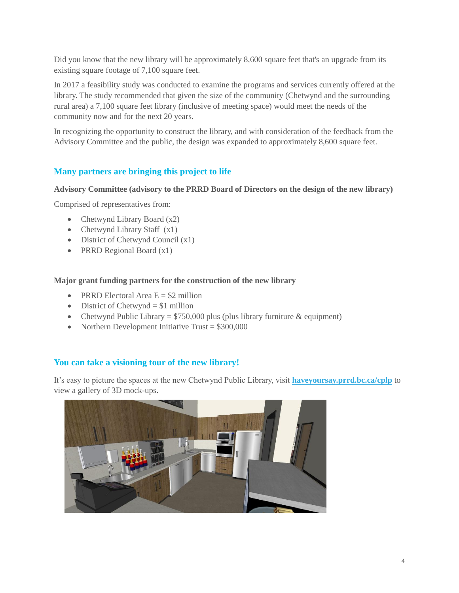Did you know that the new library will be approximately 8,600 square feet that's an upgrade from its existing square footage of 7,100 square feet.

In 2017 a feasibility study was conducted to examine the programs and services currently offered at the library. The study recommended that given the size of the community (Chetwynd and the surrounding rural area) a 7,100 square feet library (inclusive of meeting space) would meet the needs of the community now and for the next 20 years.

In recognizing the opportunity to construct the library, and with consideration of the feedback from the Advisory Committee and the public, the design was expanded to approximately 8,600 square feet.

## <span id="page-3-0"></span>**Many partners are bringing this project to life**

## **Advisory Committee (advisory to the PRRD Board of Directors on the design of the new library)**

Comprised of representatives from:

- Chetwynd Library Board (x2)
- Chetwynd Library Staff  $(x1)$
- District of Chetwynd Council (x1)
- PRRD Regional Board (x1)

## **Major grant funding partners for the construction of the new library**

- PRRD Electoral Area  $E = $2$  million
- $\bullet$  District of Chetwynd = \$1 million
- Chetwynd Public Library =  $$750,000$  plus (plus library furniture & equipment)
- Northern Development Initiative Trust  $= $300,000$

## <span id="page-3-1"></span>**You can take a visioning tour of the new library!**

It's easy to picture the spaces at the new Chetwynd Public Library, visit **[haveyoursay.prrd.bc.ca/cplp](https://haveyoursay.prrd.bc.ca/cplp)** to view a gallery of 3D mock-ups.

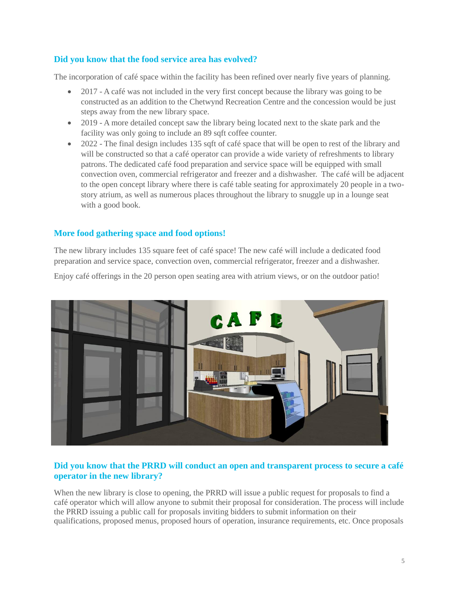## <span id="page-4-0"></span>**Did you know that the food service area has evolved?**

The incorporation of café space within the facility has been refined over nearly five years of planning.

- 2017 A café was not included in the very first concept because the library was going to be constructed as an addition to the Chetwynd Recreation Centre and the concession would be just steps away from the new library space.
- 2019 A more detailed concept saw the library being located next to the skate park and the facility was only going to include an 89 sqft coffee counter.
- 2022 The final design includes 135 sqft of café space that will be open to rest of the library and will be constructed so that a café operator can provide a wide variety of refreshments to library patrons. The dedicated café food preparation and service space will be equipped with small convection oven, commercial refrigerator and freezer and a dishwasher. The café will be adjacent to the open concept library where there is café table seating for approximately 20 people in a twostory atrium, as well as numerous places throughout the library to snuggle up in a lounge seat with a good book.

## <span id="page-4-1"></span>**More food gathering space and food options!**

The new library includes 135 square feet of café space! The new café will include a dedicated food preparation and service space, convection oven, commercial refrigerator, freezer and a dishwasher.

Enjoy café offerings in the 20 person open seating area with atrium views, or on the outdoor patio!



## <span id="page-4-2"></span>**Did you know that the PRRD will conduct an open and transparent process to secure a café operator in the new library?**

When the new library is close to opening, the PRRD will issue a public request for proposals to find a café operator which will allow anyone to submit their proposal for consideration. The process will include the PRRD issuing a public call for proposals inviting bidders to submit information on their qualifications, proposed menus, proposed hours of operation, insurance requirements, etc. Once proposals